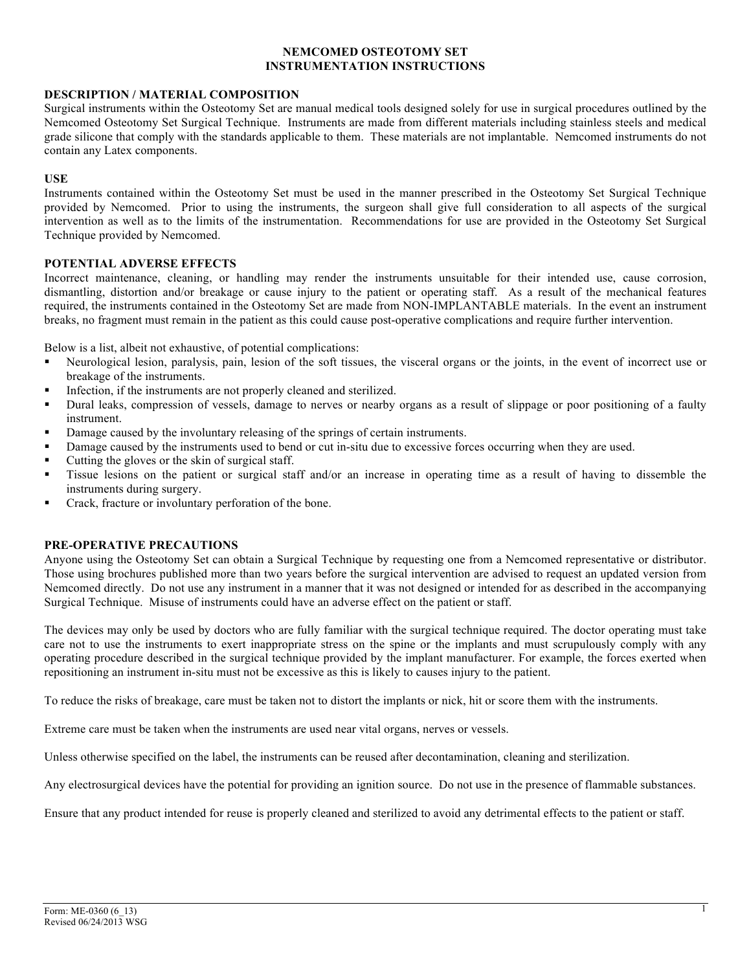## **NEMCOMED OSTEOTOMY SET INSTRUMENTATION INSTRUCTIONS**

## **DESCRIPTION / MATERIAL COMPOSITION**

Surgical instruments within the Osteotomy Set are manual medical tools designed solely for use in surgical procedures outlined by the Nemcomed Osteotomy Set Surgical Technique. Instruments are made from different materials including stainless steels and medical grade silicone that comply with the standards applicable to them. These materials are not implantable. Nemcomed instruments do not contain any Latex components.

## **USE**

Instruments contained within the Osteotomy Set must be used in the manner prescribed in the Osteotomy Set Surgical Technique provided by Nemcomed. Prior to using the instruments, the surgeon shall give full consideration to all aspects of the surgical intervention as well as to the limits of the instrumentation. Recommendations for use are provided in the Osteotomy Set Surgical Technique provided by Nemcomed.

# **POTENTIAL ADVERSE EFFECTS**

Incorrect maintenance, cleaning, or handling may render the instruments unsuitable for their intended use, cause corrosion, dismantling, distortion and/or breakage or cause injury to the patient or operating staff. As a result of the mechanical features required, the instruments contained in the Osteotomy Set are made from NON-IMPLANTABLE materials. In the event an instrument breaks, no fragment must remain in the patient as this could cause post-operative complications and require further intervention.

Below is a list, albeit not exhaustive, of potential complications:

- Neurological lesion, paralysis, pain, lesion of the soft tissues, the visceral organs or the joints, in the event of incorrect use or breakage of the instruments.
- Infection, if the instruments are not properly cleaned and sterilized.
- Dural leaks, compression of vessels, damage to nerves or nearby organs as a result of slippage or poor positioning of a faulty instrument.
- Damage caused by the involuntary releasing of the springs of certain instruments.
- Damage caused by the instruments used to bend or cut in-situ due to excessive forces occurring when they are used.
- § Cutting the gloves or the skin of surgical staff.
- § Tissue lesions on the patient or surgical staff and/or an increase in operating time as a result of having to dissemble the instruments during surgery.
- § Crack, fracture or involuntary perforation of the bone.

## **PRE-OPERATIVE PRECAUTIONS**

Anyone using the Osteotomy Set can obtain a Surgical Technique by requesting one from a Nemcomed representative or distributor. Those using brochures published more than two years before the surgical intervention are advised to request an updated version from Nemcomed directly. Do not use any instrument in a manner that it was not designed or intended for as described in the accompanying Surgical Technique. Misuse of instruments could have an adverse effect on the patient or staff.

The devices may only be used by doctors who are fully familiar with the surgical technique required. The doctor operating must take care not to use the instruments to exert inappropriate stress on the spine or the implants and must scrupulously comply with any operating procedure described in the surgical technique provided by the implant manufacturer. For example, the forces exerted when repositioning an instrument in-situ must not be excessive as this is likely to causes injury to the patient.

To reduce the risks of breakage, care must be taken not to distort the implants or nick, hit or score them with the instruments.

Extreme care must be taken when the instruments are used near vital organs, nerves or vessels.

Unless otherwise specified on the label, the instruments can be reused after decontamination, cleaning and sterilization.

Any electrosurgical devices have the potential for providing an ignition source. Do not use in the presence of flammable substances.

Ensure that any product intended for reuse is properly cleaned and sterilized to avoid any detrimental effects to the patient or staff.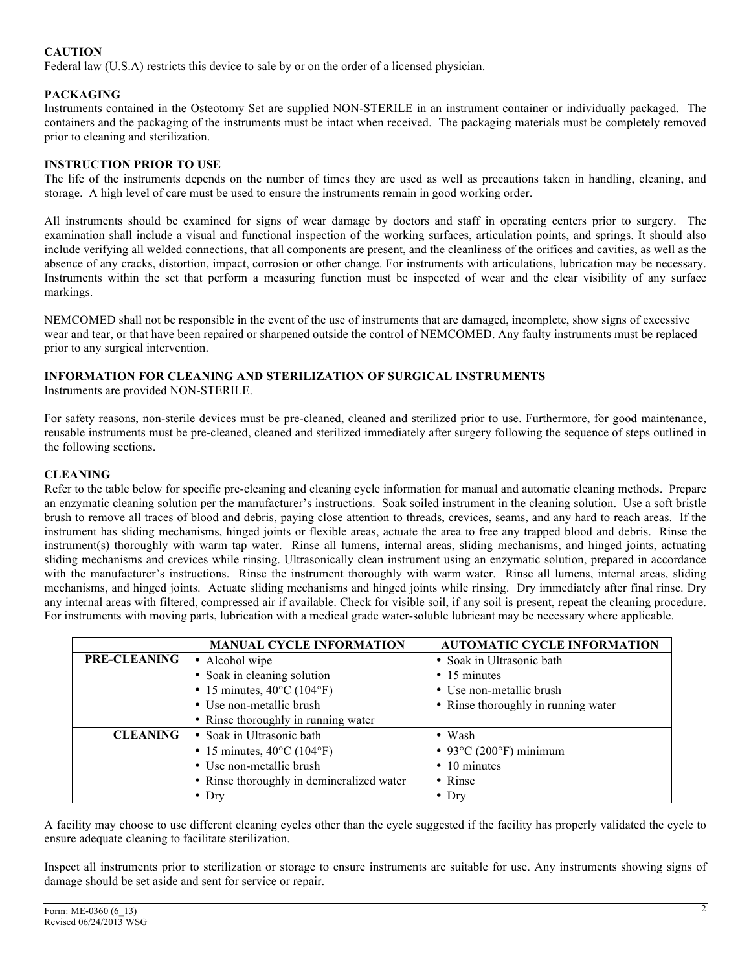# **CAUTION**

Federal law (U.S.A) restricts this device to sale by or on the order of a licensed physician.

# **PACKAGING**

Instruments contained in the Osteotomy Set are supplied NON-STERILE in an instrument container or individually packaged. The containers and the packaging of the instruments must be intact when received. The packaging materials must be completely removed prior to cleaning and sterilization.

# **INSTRUCTION PRIOR TO USE**

The life of the instruments depends on the number of times they are used as well as precautions taken in handling, cleaning, and storage. A high level of care must be used to ensure the instruments remain in good working order.

All instruments should be examined for signs of wear damage by doctors and staff in operating centers prior to surgery. The examination shall include a visual and functional inspection of the working surfaces, articulation points, and springs. It should also include verifying all welded connections, that all components are present, and the cleanliness of the orifices and cavities, as well as the absence of any cracks, distortion, impact, corrosion or other change. For instruments with articulations, lubrication may be necessary. Instruments within the set that perform a measuring function must be inspected of wear and the clear visibility of any surface markings.

NEMCOMED shall not be responsible in the event of the use of instruments that are damaged, incomplete, show signs of excessive wear and tear, or that have been repaired or sharpened outside the control of NEMCOMED. Any faulty instruments must be replaced prior to any surgical intervention.

# **INFORMATION FOR CLEANING AND STERILIZATION OF SURGICAL INSTRUMENTS**

Instruments are provided NON-STERILE.

For safety reasons, non-sterile devices must be pre-cleaned, cleaned and sterilized prior to use. Furthermore, for good maintenance, reusable instruments must be pre-cleaned, cleaned and sterilized immediately after surgery following the sequence of steps outlined in the following sections.

# **CLEANING**

Refer to the table below for specific pre-cleaning and cleaning cycle information for manual and automatic cleaning methods. Prepare an enzymatic cleaning solution per the manufacturer's instructions. Soak soiled instrument in the cleaning solution. Use a soft bristle brush to remove all traces of blood and debris, paying close attention to threads, crevices, seams, and any hard to reach areas. If the instrument has sliding mechanisms, hinged joints or flexible areas, actuate the area to free any trapped blood and debris. Rinse the instrument(s) thoroughly with warm tap water. Rinse all lumens, internal areas, sliding mechanisms, and hinged joints, actuating sliding mechanisms and crevices while rinsing. Ultrasonically clean instrument using an enzymatic solution, prepared in accordance with the manufacturer's instructions. Rinse the instrument thoroughly with warm water. Rinse all lumens, internal areas, sliding mechanisms, and hinged joints. Actuate sliding mechanisms and hinged joints while rinsing. Dry immediately after final rinse. Dry any internal areas with filtered, compressed air if available. Check for visible soil, if any soil is present, repeat the cleaning procedure. For instruments with moving parts, lubrication with a medical grade water-soluble lubricant may be necessary where applicable.

|                     | <b>MANUAL CYCLE INFORMATION</b>                 | <b>AUTOMATIC CYCLE INFORMATION</b>         |  |
|---------------------|-------------------------------------------------|--------------------------------------------|--|
| <b>PRE-CLEANING</b> | • Alcohol wipe                                  | • Soak in Ultrasonic bath                  |  |
|                     | • Soak in cleaning solution                     | • 15 minutes                               |  |
|                     | • 15 minutes, $40^{\circ}$ C (104°F)            | • Use non-metallic brush                   |  |
|                     | • Use non-metallic brush                        | • Rinse thoroughly in running water        |  |
|                     | • Rinse thoroughly in running water             |                                            |  |
| <b>CLEANING</b>     | • Soak in Ultrasonic bath                       | $\bullet$ Wash                             |  |
|                     | • 15 minutes, $40^{\circ}$ C (104 $^{\circ}$ F) | • 93 $\degree$ C (200 $\degree$ F) minimum |  |
|                     | • Use non-metallic brush                        | $\cdot$ 10 minutes                         |  |
|                     | • Rinse thoroughly in demineralized water       | • Rinse                                    |  |
|                     | $\bullet$ Dry                                   | $\bullet$ Dry                              |  |

A facility may choose to use different cleaning cycles other than the cycle suggested if the facility has properly validated the cycle to ensure adequate cleaning to facilitate sterilization.

Inspect all instruments prior to sterilization or storage to ensure instruments are suitable for use. Any instruments showing signs of damage should be set aside and sent for service or repair.